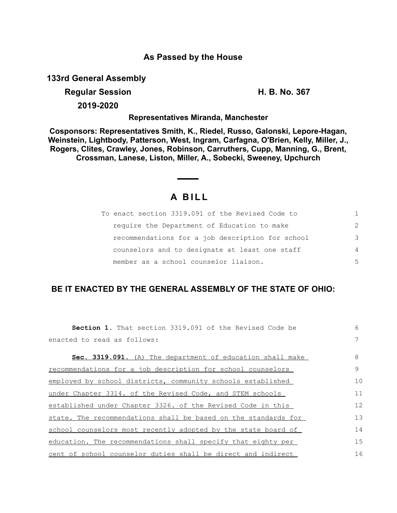## **As Passed by the House**

**133rd General Assembly**

## **Regular Session H. B. No. 367**

**2019-2020**

**Representatives Miranda, Manchester**

**Cosponsors: Representatives Smith, K., Riedel, Russo, Galonski, Lepore-Hagan, Weinstein, Lightbody, Patterson, West, Ingram, Carfagna, O'Brien, Kelly, Miller, J., Rogers, Clites, Crawley, Jones, Robinson, Carruthers, Cupp, Manning, G., Brent, Crossman, Lanese, Liston, Miller, A., Sobecki, Sweeney, Upchurch**

## **A B I L L**

| To enact section 3319.091 of the Revised Code to |               |
|--------------------------------------------------|---------------|
| require the Department of Education to make      | $\mathcal{P}$ |
| recommendations for a job description for school | 3             |
| counselors and to designate at least one staff   | 4             |
| member as a school counselor liaison.            | 5             |

## **BE IT ENACTED BY THE GENERAL ASSEMBLY OF THE STATE OF OHIO:**

| <b>Section 1.</b> That section 3319.091 of the Revised Code be | 6  |
|----------------------------------------------------------------|----|
| enacted to read as follows:                                    |    |
| Sec. 3319.091. (A) The department of education shall make      | 8  |
| recommendations for a job description for school counselors    | 9  |
| employed by school districts, community schools established    | 10 |
| under Chapter 3314. of the Revised Code, and STEM schools      | 11 |
| established under Chapter 3326. of the Revised Code in this    | 12 |
| state. The recommendations shall be based on the standards for | 13 |
| school counselors most recently adopted by the state board of  | 14 |
| education. The recommendations shall specify that eighty per   | 15 |
| cent of school counselor duties shall be direct and indirect   | 16 |